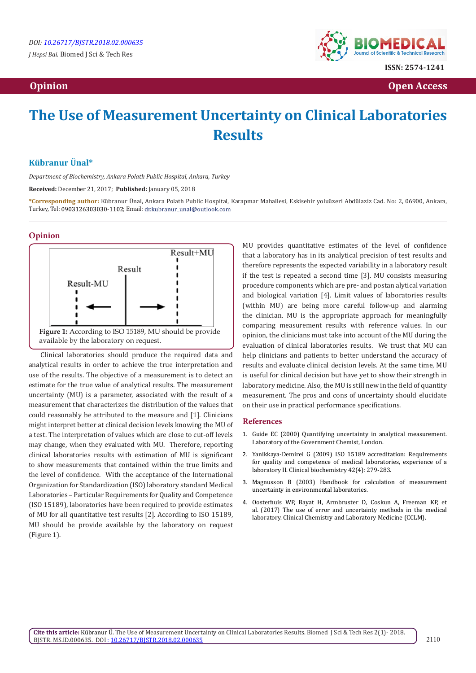

 **Opinion Open Access Open Access**  *Open Access* **<b>** *Open Access* 

# **The Use of Measurement Uncertainty on Clinical Laboratories Results**

## **Kübranur Ünal\***

*Department of Biochemistry, Ankara Polatlı Public Hospital, Ankara, Turkey*

**Received:** December 21, 2017; **Published:** January 05, 2018

**\*Corresponding author:** Kübranur Ünal, Ankara Polath Public Hospital, Karapmar Mahallesi, Eskisehir yoluüzeri Abdülaziz Cad. No: 2, 06900, Ankara, Turkey, Tel: 0903126303030-1102; Email: dr.kubranur\_unal@outlook.com

### **Opinion**



Clinical laboratories should produce the required data and analytical results in order to achieve the true interpretation and use of the results. The objective of a measurement is to detect an estimate for the true value of analytical results. The measurement uncertainty (MU) is a parameter, associated with the result of a measurement that characterizes the distribution of the values that could reasonably be attributed to the measure and [1]. Clinicians might interpret better at clinical decision levels knowing the MU of a test. The interpretation of values which are close to cut-off levels may change, when they evaluated with MU. Therefore, reporting clinical laboratories results with estimation of MU is significant to show measurements that contained within the true limits and the level of confidence. With the acceptance of the International Organization for Standardization (ISO) laboratory standard Medical Laboratories – Particular Requirements for Quality and Competence (ISO 15189), laboratories have been required to provide estimates of MU for all quantitative test results [2]. According to ISO 15189, MU should be provide available by the laboratory on request (Figure 1).

MU provides quantitative estimates of the level of confidence that a laboratory has in its analytical precision of test results and therefore represents the expected variability in a laboratory result if the test is repeated a second time [3]. MU consists measuring procedure components which are pre- and postan alytical variation and biological variation [4]. Limit values of laboratories results (within MU) are being more careful follow-up and alarming the clinician. MU is the appropriate approach for meaningfully comparing measurement results with reference values. In our opinion, the clinicians must take into account of the MU during the evaluation of clinical laboratories results. We trust that MU can help clinicians and patients to better understand the accuracy of results and evaluate clinical decision levels. At the same time, MU is useful for clinical decision but have yet to show their strength in laboratory medicine. Also, the MU is still new in the field of quantity measurement. The pros and cons of uncertainty should elucidate on their use in practical performance specifications.

#### **References**

- 1. [Guide EC \(2000\) Quantifying uncertainty in analytical measurement.](https://www.eurachem.org/index.php/publications/guides/quam) [Laboratory of the Government Chemist, London.](https://www.eurachem.org/index.php/publications/guides/quam)
- 2. [Yanikkaya-Demirel G \(2009\) ISO 15189 accreditation: Requirements](https://www.ncbi.nlm.nih.gov/pubmed/19863921) [for quality and competence of medical laboratories, experience of a](https://www.ncbi.nlm.nih.gov/pubmed/19863921) [laboratory II. Clinical biochemistry 42\(4\): 279-283.](https://www.ncbi.nlm.nih.gov/pubmed/19863921)
- 3. [Magnusson B \(2003\) Handbook for calculation of measurement](http://www.nordtest.info/index.php/technical-reports/item/handbook-for-calculation-of-measurement-uncertainty-in-environmental-laboratories-nt-tr-537-edition-3.html) [uncertainty in environmental laboratories.](http://www.nordtest.info/index.php/technical-reports/item/handbook-for-calculation-of-measurement-uncertainty-in-environmental-laboratories-nt-tr-537-edition-3.html)
- 4. [Oosterhuis WP, Bayat H, Armbruster D, Coskun A, Freeman KP, et](https://www.degruyter.com/view/j/cclm.ahead-of-print/cclm-2017-0341/www.degruyter.com/view/j/cclm.ahead-of-print/cclm-2017-0341/cclm-2017-0341.xml) [al. \(2017\) The use of error and uncertainty methods in the medical](https://www.degruyter.com/view/j/cclm.ahead-of-print/cclm-2017-0341/www.degruyter.com/view/j/cclm.ahead-of-print/cclm-2017-0341/cclm-2017-0341.xml) [laboratory. Clinical Chemistry and Laboratory Medicine \(CCLM\).](https://www.degruyter.com/view/j/cclm.ahead-of-print/cclm-2017-0341/www.degruyter.com/view/j/cclm.ahead-of-print/cclm-2017-0341/cclm-2017-0341.xml)